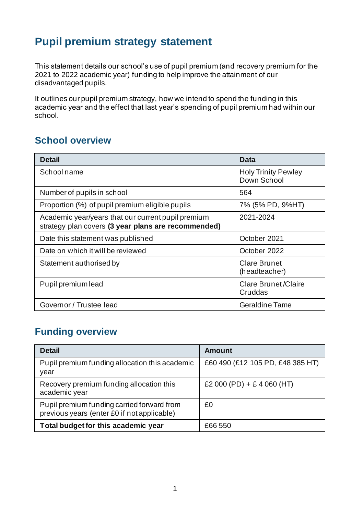## **Pupil premium strategy statement**

This statement details our school's use of pupil premium (and recovery premium for the 2021 to 2022 academic year) funding to help improve the attainment of our disadvantaged pupils.

It outlines our pupil premium strategy, how we intend to spend the funding in this academic year and the effect that last year's spending of pupil premium had within our school.

#### **School overview**

| <b>Detail</b>                                                                                             | Data                                      |
|-----------------------------------------------------------------------------------------------------------|-------------------------------------------|
| School name                                                                                               | <b>Holy Trinity Pewley</b><br>Down School |
| Number of pupils in school                                                                                | 564                                       |
| Proportion (%) of pupil premium eligible pupils                                                           | 7% (5% PD, 9%HT)                          |
| Academic year/years that our current pupil premium<br>strategy plan covers (3 year plans are recommended) | 2021-2024                                 |
| Date this statement was published                                                                         | October 2021                              |
| Date on which it will be reviewed                                                                         | October 2022                              |
| Statement authorised by                                                                                   | <b>Clare Brunet</b><br>(headteacher)      |
| Pupil premium lead                                                                                        | <b>Clare Brunet/Claire</b><br>Cruddas     |
| Governor / Trustee lead                                                                                   | <b>Geraldine Tame</b>                     |

#### **Funding overview**

| <b>Detail</b>                                                                             | <b>Amount</b>                    |
|-------------------------------------------------------------------------------------------|----------------------------------|
| Pupil premium funding allocation this academic<br>year                                    | £60 490 (£12 105 PD, £48 385 HT) |
| Recovery premium funding allocation this<br>academic year                                 | £2 000 (PD) + £ 4 060 (HT)       |
| Pupil premium funding carried forward from<br>previous years (enter £0 if not applicable) | £0                               |
| Total budget for this academic year                                                       | £66 550                          |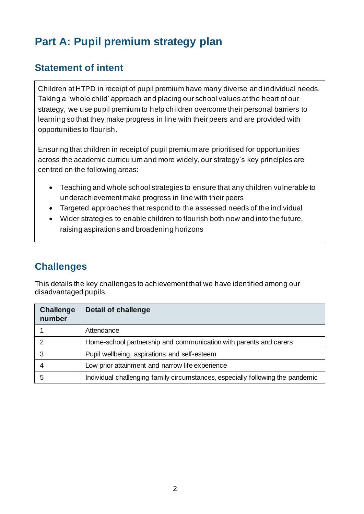# **Part A: Pupil premium strategy plan**

### **Statement of intent**

Children at HTPD in receipt of pupil premium have many diverse and individual needs. Taking a 'whole child' approach and placing our school values at the heart of our strategy, we use pupil premium to help children overcome their personal barriers to learning so that they make progress in line with their peers and are provided with opportunities to flourish.

Ensuring that children in receipt of pupil premium are prioritised for opportunities across the academic curriculum and more widely, our strategy's key principles are centred on the following areas:

- Teaching and whole school strategies to ensure that any children vulnerable to underachievement make progress in line with their peers
- Targeted approaches that respond to the assessed needs of the individual
- Wider strategies to enable children to flourish both now and into the future, raising aspirations and broadening horizons

### **Challenges**

This details the key challenges to achievement that we have identified among our disadvantaged pupils.

| <b>Challenge</b><br>number | <b>Detail of challenge</b>                                                     |
|----------------------------|--------------------------------------------------------------------------------|
|                            | Attendance                                                                     |
|                            | Home-school partnership and communication with parents and carers              |
| 3                          | Pupil wellbeing, aspirations and self-esteem                                   |
|                            | Low prior attainment and narrow life experience                                |
| 5                          | Individual challenging family circumstances, especially following the pandemic |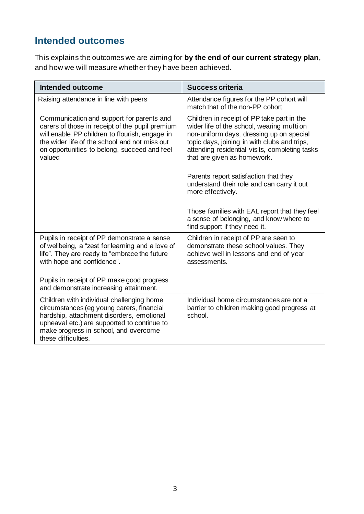### **Intended outcomes**

This explains the outcomes we are aiming for **by the end of our current strategy plan**, and how we will measure whether they have been achieved.

| Intended outcome                                                                                                                                                                                                                                          | <b>Success criteria</b>                                                                                                                                                                                                                                               |
|-----------------------------------------------------------------------------------------------------------------------------------------------------------------------------------------------------------------------------------------------------------|-----------------------------------------------------------------------------------------------------------------------------------------------------------------------------------------------------------------------------------------------------------------------|
| Raising attendance in line with peers                                                                                                                                                                                                                     | Attendance figures for the PP cohort will<br>match that of the non-PP cohort                                                                                                                                                                                          |
| Communication and support for parents and<br>carers of those in receipt of the pupil premium<br>will enable PP children to flourish, engage in<br>the wider life of the school and not miss out<br>on opportunities to belong, succeed and feel<br>valued | Children in receipt of PP take part in the<br>wider life of the school, wearing mufti on<br>non-uniform days, dressing up on special<br>topic days, joining in with clubs and trips,<br>attending residential visits, completing tasks<br>that are given as homework. |
|                                                                                                                                                                                                                                                           | Parents report satisfaction that they<br>understand their role and can carry it out<br>more effectively.                                                                                                                                                              |
|                                                                                                                                                                                                                                                           | Those families with EAL report that they feel<br>a sense of belonging, and know where to<br>find support if they need it.                                                                                                                                             |
| Pupils in receipt of PP demonstrate a sense<br>of wellbeing, a "zest for learning and a love of<br>life". They are ready to "embrace the future<br>with hope and confidence".                                                                             | Children in receipt of PP are seen to<br>demonstrate these school values. They<br>achieve well in lessons and end of year<br>assessments.                                                                                                                             |
| Pupils in receipt of PP make good progress<br>and demonstrate increasing attainment.                                                                                                                                                                      |                                                                                                                                                                                                                                                                       |
| Children with individual challenging home<br>circumstances (eg young carers, financial<br>hardship, attachment disorders, emotional<br>upheaval etc.) are supported to continue to<br>make progress in school, and overcome<br>these difficulties.        | Individual home circumstances are not a<br>barrier to children making good progress at<br>school.                                                                                                                                                                     |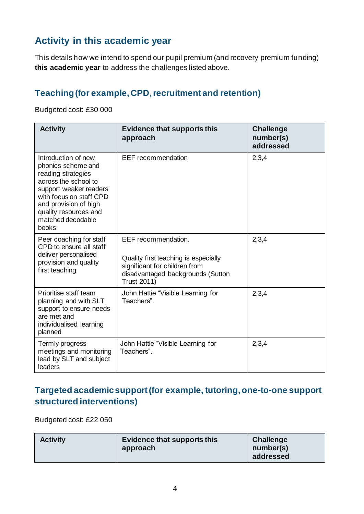### **Activity in this academic year**

This details how we intend to spend our pupil premium (and recovery premium funding) **this academic year** to address the challenges listed above.

#### **Teaching (for example, CPD, recruitment and retention)**

Budgeted cost: £30 000

| <b>Activity</b>                                                                                                                                                                                                              | <b>Evidence that supports this</b><br>approach                                                                                                          | <b>Challenge</b><br>number(s)<br>addressed |
|------------------------------------------------------------------------------------------------------------------------------------------------------------------------------------------------------------------------------|---------------------------------------------------------------------------------------------------------------------------------------------------------|--------------------------------------------|
| Introduction of new<br>phonics scheme and<br>reading strategies<br>across the school to<br>support weaker readers<br>with focus on staff CPD<br>and provision of high<br>quality resources and<br>matched decodable<br>books | <b>EEF</b> recommendation                                                                                                                               | 2,3,4                                      |
| Peer coaching for staff<br>CPD to ensure all staff<br>deliver personalised<br>provision and quality<br>first teaching                                                                                                        | EEF recommendation.<br>Quality first teaching is especially<br>significant for children from<br>disadvantaged backgrounds (Sutton<br><b>Trust 2011)</b> | 2,3,4                                      |
| Prioritise staff team<br>planning and with SLT<br>support to ensure needs<br>are met and<br>individualised learning<br>planned                                                                                               | John Hattie "Visible Learning for<br>Teachers".                                                                                                         | 2,3,4                                      |
| Termly progress<br>meetings and monitoring<br>lead by SLT and subject<br>leaders                                                                                                                                             | John Hattie "Visible Learning for<br>Teachers".                                                                                                         | 2,3,4                                      |

#### **Targeted academic support (for example, tutoring, one-to-one support structured interventions)**

Budgeted cost: £22 050

| <b>Activity</b> | Evidence that supports this<br>approach | <b>Challenge</b><br>number(s)<br>addressed |
|-----------------|-----------------------------------------|--------------------------------------------|
|                 |                                         |                                            |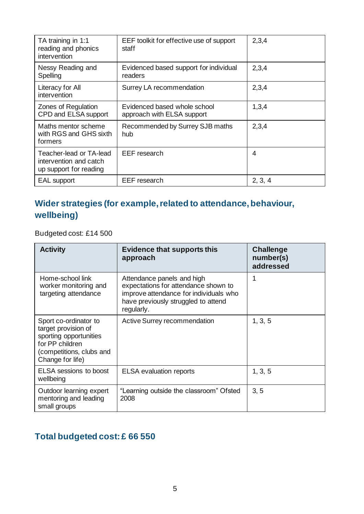| TA training in 1:1<br>reading and phonics<br>intervention                   | EEF toolkit for effective use of support<br>staff          | 2,3,4   |
|-----------------------------------------------------------------------------|------------------------------------------------------------|---------|
| Nessy Reading and<br>Spelling                                               | Evidenced based support for individual<br>readers          | 2,3,4   |
| Literacy for All<br>intervention                                            | Surrey LA recommendation                                   | 2,3,4   |
| Zones of Regulation<br>CPD and ELSA support                                 | Evidenced based whole school<br>approach with ELSA support | 1,3,4   |
| Maths mentor scheme<br>with RGS and GHS sixth<br>formers                    | Recommended by Surrey SJB maths<br>hub                     | 2,3,4   |
| Teacher-lead or TA-lead<br>intervention and catch<br>up support for reading | <b>EEF</b> research                                        | 4       |
| <b>EAL</b> support                                                          | <b>EEF</b> research                                        | 2, 3, 4 |

#### **Wider strategies (for example, related to attendance, behaviour, wellbeing)**

Budgeted cost: £14 500

| <b>Activity</b>                                                                                                                           | <b>Evidence that supports this</b><br>approach                                                                                                                    | <b>Challenge</b><br>number(s)<br>addressed |
|-------------------------------------------------------------------------------------------------------------------------------------------|-------------------------------------------------------------------------------------------------------------------------------------------------------------------|--------------------------------------------|
| Home-school link<br>worker monitoring and<br>targeting attendance                                                                         | Attendance panels and high<br>expectations for attendance shown to<br>improve attendance for individuals who<br>have previously struggled to attend<br>regularly. |                                            |
| Sport co-ordinator to<br>target provision of<br>sporting opportunities<br>for PP children<br>(competitions, clubs and<br>Change for life) | Active Surrey recommendation                                                                                                                                      | 1, 3, 5                                    |
| <b>ELSA</b> sessions to boost<br>wellbeing                                                                                                | <b>ELSA</b> evaluation reports                                                                                                                                    | 1, 3, 5                                    |
| Outdoor learning expert<br>mentoring and leading<br>small groups                                                                          | "Learning outside the classroom" Ofsted<br>2008                                                                                                                   | 3, 5                                       |

#### **Total budgeted cost: £ 66 550**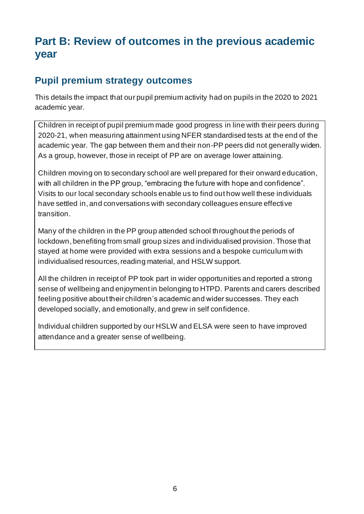## **Part B: Review of outcomes in the previous academic year**

#### **Pupil premium strategy outcomes**

This details the impact that our pupil premium activity had on pupils in the 2020 to 2021 academic year.

Children in receipt of pupil premium made good progress in line with their peers during 2020-21, when measuring attainment using NFER standardised tests at the end of the academic year. The gap between them and their non-PP peers did not generally widen. As a group, however, those in receipt of PP are on average lower attaining.

Children moving on to secondary school are well prepared for their onward education, with all children in the PP group, "embracing the future with hope and confidence". Visits to our local secondary schools enable us to find out how well these individuals have settled in, and conversations with secondary colleagues ensure effective transition.

Many of the children in the PP group attended school throughout the periods of lockdown, benefiting from small group sizes and individualised provision. Those that stayed at home were provided with extra sessions and a bespoke curriculum with individualised resources, reading material, and HSLW support.

All the children in receipt of PP took part in wider opportunities and reported a strong sense of wellbeing and enjoyment in belonging to HTPD. Parents and carers described feeling positive about their children's academic and wider successes. They each developed socially, and emotionally, and grew in self confidence.

Individual children supported by our HSLW and ELSA were seen to have improved attendance and a greater sense of wellbeing.